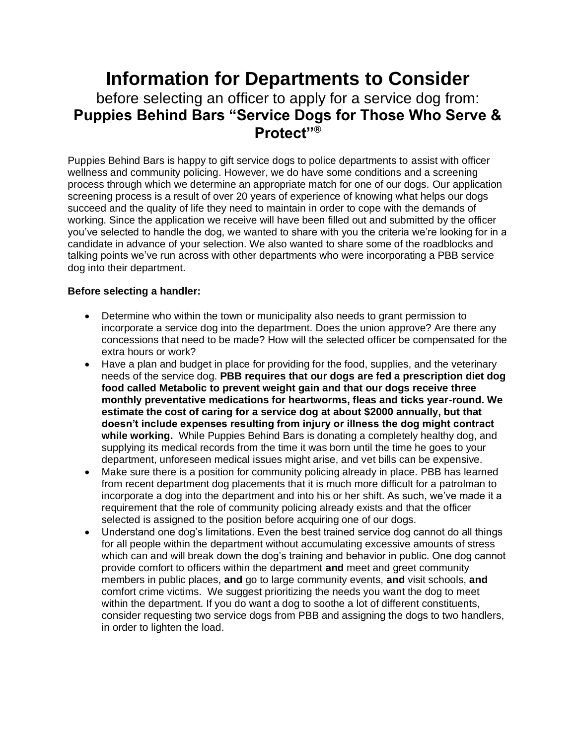## **Information for Departments to Consider**  before selecting an officer to apply for a service dog from: **Puppies Behind Bars "Service Dogs for Those Who Serve & Protect"®**

Puppies Behind Bars is happy to gift service dogs to police departments to assist with officer wellness and community policing. However, we do have some conditions and a screening process through which we determine an appropriate match for one of our dogs. Our application screening process is a result of over 20 years of experience of knowing what helps our dogs succeed and the quality of life they need to maintain in order to cope with the demands of working. Since the application we receive will have been filled out and submitted by the officer you've selected to handle the dog, we wanted to share with you the criteria we're looking for in a candidate in advance of your selection. We also wanted to share some of the roadblocks and talking points we've run across with other departments who were incorporating a PBB service dog into their department.

## **Before selecting a handler:**

- Determine who within the town or municipality also needs to grant permission to incorporate a service dog into the department. Does the union approve? Are there any concessions that need to be made? How will the selected officer be compensated for the extra hours or work?
- Have a plan and budget in place for providing for the food, supplies, and the veterinary needs of the service dog. **PBB requires that our dogs are fed a prescription diet dog food called Metabolic to prevent weight gain and that our dogs receive three monthly preventative medications for heartworms, fleas and ticks year-round. We estimate the cost of caring for a service dog at about \$2000 annually, but that doesn't include expenses resulting from injury or illness the dog might contract while working.** While Puppies Behind Bars is donating a completely healthy dog, and supplying its medical records from the time it was born until the time he goes to your department, unforeseen medical issues might arise, and vet bills can be expensive.
- Make sure there is a position for community policing already in place. PBB has learned from recent department dog placements that it is much more difficult for a patrolman to incorporate a dog into the department and into his or her shift. As such, we've made it a requirement that the role of community policing already exists and that the officer selected is assigned to the position before acquiring one of our dogs.
- Understand one dog's limitations. Even the best trained service dog cannot do all things for all people within the department without accumulating excessive amounts of stress which can and will break down the dog's training and behavior in public. One dog cannot provide comfort to officers within the department **and** meet and greet community members in public places, **and** go to large community events, **and** visit schools, **and**  comfort crime victims. We suggest prioritizing the needs you want the dog to meet within the department. If you do want a dog to soothe a lot of different constituents, consider requesting two service dogs from PBB and assigning the dogs to two handlers, in order to lighten the load.